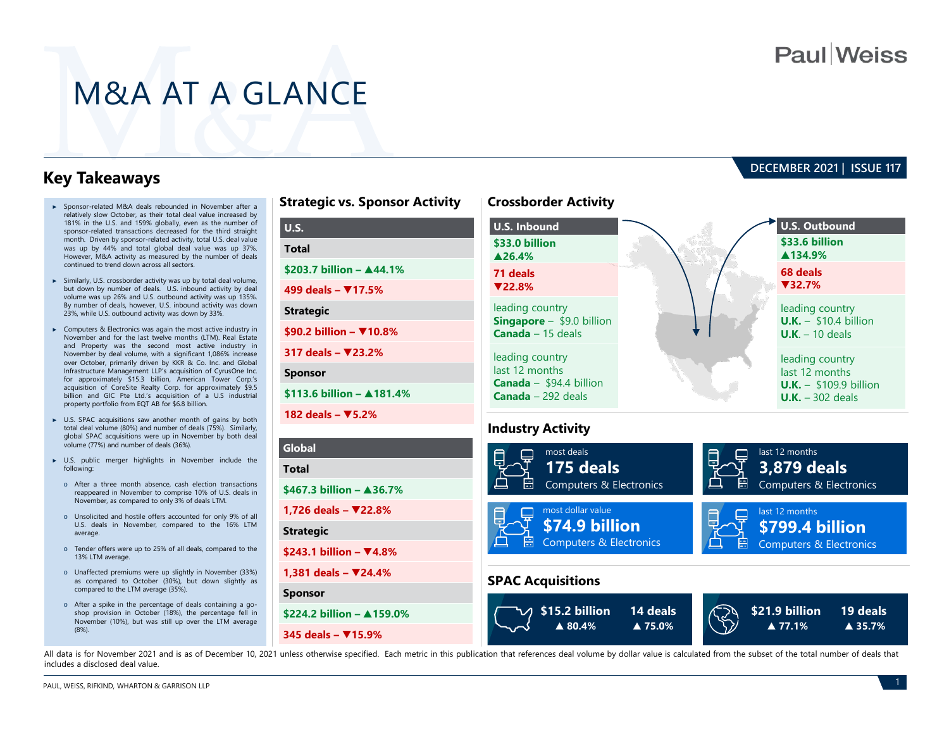# **Paul**Weiss

# M&A AT A GLANCE

**Global**

**345 deals – ▼15.9%**

### **Key Takeaways**

- ► Sponsor-related M&A deals rebounded in November after a relatively slow October, as their total deal value increased by 181% in the U.S. and 159% globally, even as the number of sponsor-related transactions decreased for the third straight month. Driven by sponsor-related activity, total U.S. deal value was up by 44% and total global deal value was up 37%. However, M&A activity as measured by the number of deals continued to trend down across all sectors.
- ► Similarly, U.S. crossborder activity was up by total deal volume, but down by number of deals. U.S. inbound activity by deal volume was up 26% and U.S. outbound activity was up 135%. By number of deals, however, U.S. inbound activity was down 23%, while U.S. outbound activity was down by 33%.
- ► Computers & Electronics was again the most active industry in November and for the last twelve months (LTM). Real Estate and Property was the second most active industry in November by deal volume, with a significant 1,086% increase over October, primarily driven by KKR & Co. Inc. and Global Infrastructure Management LLP's acquisition of CyrusOne Inc. for approximately \$15.3 billion, American Tower Corp.'s acquisition of CoreSite Realty Corp. for approximately \$9.5 billion and GIC Pte Ltd.'s acquisition of a U.S industrial property portfolio from EQT AB for \$6.8 billion.
- ► U.S. SPAC acquisitions saw another month of gains by both total deal volume (80%) and number of deals (75%). Similarly, global SPAC acquisitions were up in November by both deal volume (77%) and number of deals (36%).
- ► U.S. public merger highlights in November include the following:
- o After a three month absence, cash election transactions reappeared in November to comprise 10% of U.S. deals in November, as compared to only 3% of deals LTM.
- o Unsolicited and hostile offers accounted for only 9% of all U.S. deals in November, compared to the 16% LTM average.
- o Tender offers were up to 25% of all deals, compared to the 13% LTM average.
- o Unaffected premiums were up slightly in November (33%) as compared to October (30%), but down slightly as compared to the LTM average (35%).
- o After a spike in the percentage of deals containing a goshop provision in October (18%), the percentage fell in November (10%), but was still up over the LTM average (8%).

| <b>Strategic vs. Sponsor Activity</b>  | <b>Crossborder Activity</b>                            |                                                       |
|----------------------------------------|--------------------------------------------------------|-------------------------------------------------------|
| U.S.                                   | <b>U.S. Inbound</b>                                    | <b>U.S. Outbound</b>                                  |
| <b>Total</b>                           | \$33.0 billion<br>▲26.4%                               | \$33.6 billion<br>▲134.9%                             |
| \$203.7 billion - $\triangle$ 44.1%    | 71 deals                                               | 68 deals                                              |
| 499 deals - <b>▼17.5%</b>              | ▼22.8%                                                 | $\P$ 32.7%                                            |
| <b>Strategic</b>                       | leading country                                        | leading country                                       |
| \$90.2 billion - $\Psi$ 10.8%          | Singapore - \$9.0 billion<br><b>Canada</b> $-15$ deals | <b>U.K.</b> - $$10.4$ billion<br>$U.K. - 10$ deals    |
| 317 deals - ₹23.2%                     | leading country                                        | leading country                                       |
| <b>Sponsor</b>                         | last 12 months<br><b>Canada</b> $-$ \$94.4 billion     | last 12 months                                        |
| $$113.6$ billion - $\triangle 181.4\%$ | <b>Canada</b> $-$ 292 deals                            | <b>U.K.</b> $-$ \$109.9 billion<br>$U.K. - 302$ deals |
| 182 deals - <b>▼</b> 5.2%              |                                                        |                                                       |
|                                        | <b>Industry Activity</b>                               |                                                       |
| <b>Global</b>                          | most deals                                             | last 12 months                                        |
| <b>Total</b>                           | 175 deals<br>몸                                         | 3,879 deals                                           |
| \$467.3 billion - ▲36.7%               | Computers & Electronics                                | Computers & Electronics                               |
| 1,726 deals - ₹22.8%                   | most dollar value                                      | last 12 months                                        |
| <b>Strategic</b>                       | \$74.9 billion                                         | \$799.4 billion                                       |
| \$243.1 billion - <b>▼</b> 4.8%        | 몸<br><b>Computers &amp; Electronics</b>                | 쁲<br><b>Computers &amp; Electronics</b>               |
| 1,381 deals – $\Psi$ 24.4%             | <b>SPAC Acquisitions</b>                               |                                                       |
| <b>Sponsor</b>                         |                                                        |                                                       |
| \$224.2 billion $ \triangle$ 159.0%    | \$15.2 billion<br>14 deals                             | \$21.9 billion<br>19 deal                             |

**▲ 80.4%** 

**▲ 75.0%**

All data is for November 2021 and is as of December 10, 2021 unless otherwise specified. Each metric in this publication that references deal volume by dollar value is calculated from the subset of the total number of deal includes a disclosed deal value.

 $\sim$   $\sim$   $\sim$ 

> **19 deals ▲ 35.7%**

**▲ 77.1%** 

、ヾ゙゙゙゚゙

### **DECEMBER 2021 | ISSUE 117**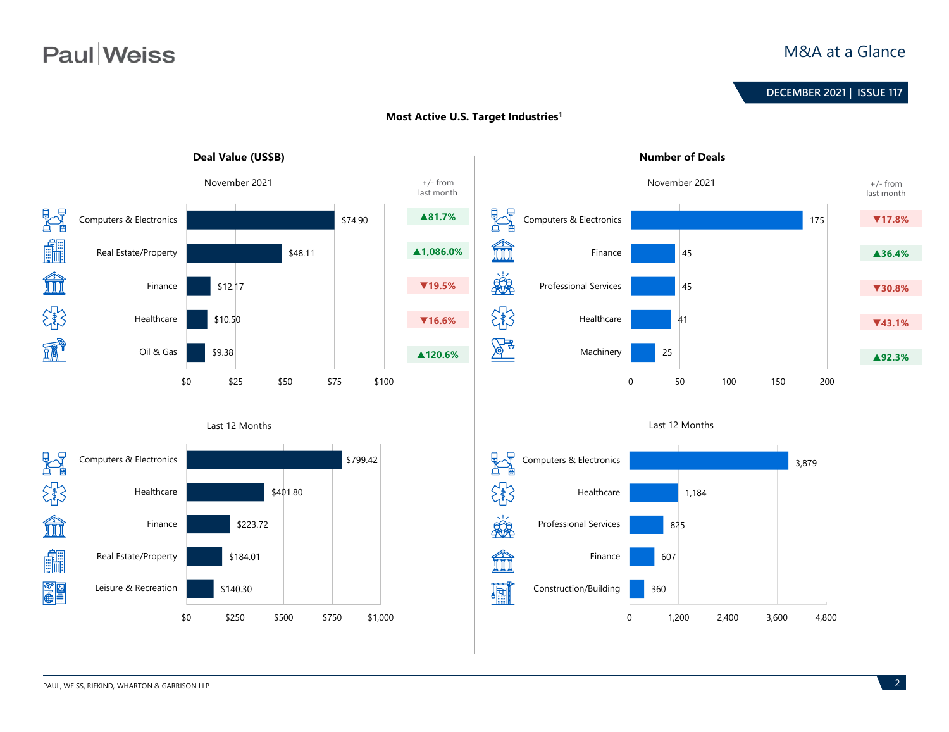# **Paul** Weiss

### M&A at a Glance

### **June 2020 | ISSUE 99 DECEMBER 2021 | ISSUE 117**



### **Most Active U.S. Target Industries1**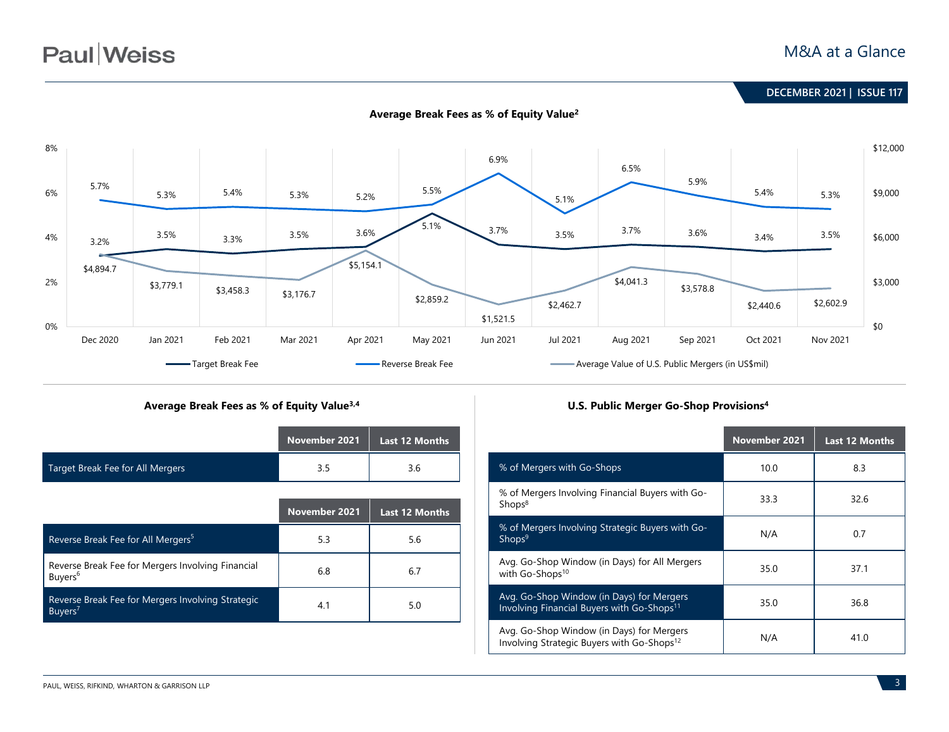# **Paul** Weiss

### M&A at a Glance



#### **Average Break Fees as % of Equity Value3,4 U.S. Public Merger Go-Shop Provisions4**

|                                  | November 2021 | <b>Last 12 Months</b> |
|----------------------------------|---------------|-----------------------|
| Target Break Fee for All Mergers |               | 3.6                   |

|                                                                          | November 2021 | <b>Last 12 Months</b> |
|--------------------------------------------------------------------------|---------------|-----------------------|
| Reverse Break Fee for All Mergers <sup>5</sup>                           | 5.3           | 5.6                   |
| Reverse Break Fee for Mergers Involving Financial<br>Buyers <sup>6</sup> | 6.8           | 6.7                   |
| Reverse Break Fee for Mergers Involving Strategic<br>Buyers <sup>7</sup> | 4.1           | 5.0                   |

|                                                                                                     | <b>November 2021</b> | <b>Last 12 Months</b> |
|-----------------------------------------------------------------------------------------------------|----------------------|-----------------------|
| % of Mergers with Go-Shops                                                                          | 10.0                 | 8.3                   |
| % of Mergers Involving Financial Buyers with Go-<br>Shops <sup>8</sup>                              | 33.3                 | 32.6                  |
| % of Mergers Involving Strategic Buyers with Go-<br>Shops <sup>9</sup>                              | N/A                  | 0.7                   |
| Avg. Go-Shop Window (in Days) for All Mergers<br>with Go-Shops <sup>10</sup>                        | 35.0                 | 37.1                  |
| Avg. Go-Shop Window (in Days) for Mergers<br>Involving Financial Buyers with Go-Shops <sup>11</sup> | 35.0                 | 36.8                  |
| Avg. Go-Shop Window (in Days) for Mergers<br>Involving Strategic Buyers with Go-Shops <sup>12</sup> | N/A                  | 41.0                  |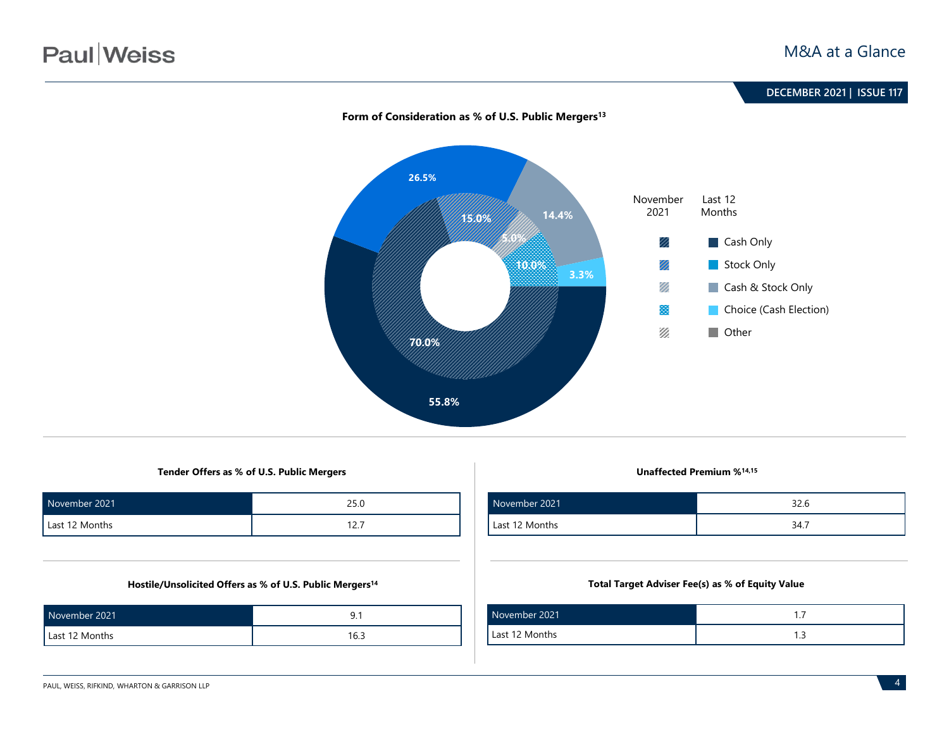

### Form of Consideration as % of U.S. Public Mergers<sup>13</sup>

**Tender Offers as % of U.S. Public Mergers Unaffected Premium %14,15**

| November 2021  | つに い     |
|----------------|----------|
| Last 12 Months | <u>.</u> |

#### **Hostile/Unsolicited Offers as % of U.S. Public Mergers14**

| November 2021  |      |
|----------------|------|
| Last 12 Months | 16.3 |

| November 2021  | 32.6 |
|----------------|------|
| Last 12 Months | 34.7 |

#### **Total Target Adviser Fee(s) as % of Equity Value**

| November 2021  |   |
|----------------|---|
| Last 12 Months | . |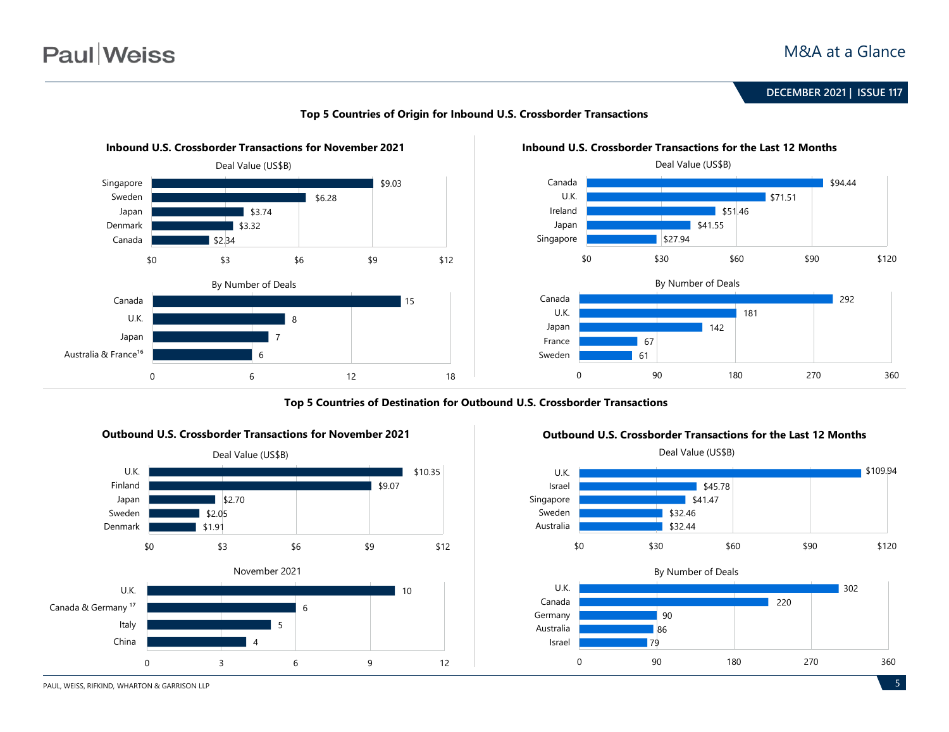# **Paul**Weiss

**June 2020 | ISSUE 99 DECEMBER 2021 | ISSUE 117**



#### **Top 5 Countries of Origin for Inbound U.S. Crossborder Transactions**

**Top 5 Countries of Destination for Outbound U.S. Crossborder Transactions**





#### **Outbound U.S. Crossborder Transactions for the Last 12 Months**

PAUL, WEISS, RIFKIND, WHARTON & GARRISON LLP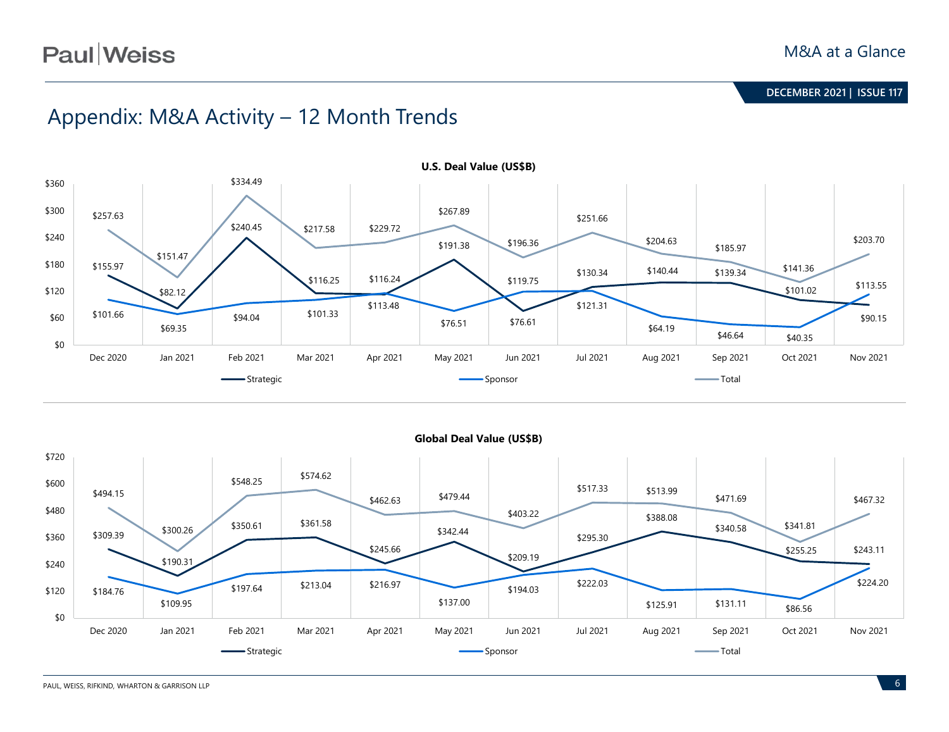# **Paul**Weiss

**June 2020 | ISSUE 99 DECEMBER 2021 | ISSUE 117**

# Appendix: M&A Activity – 12 Month Trends



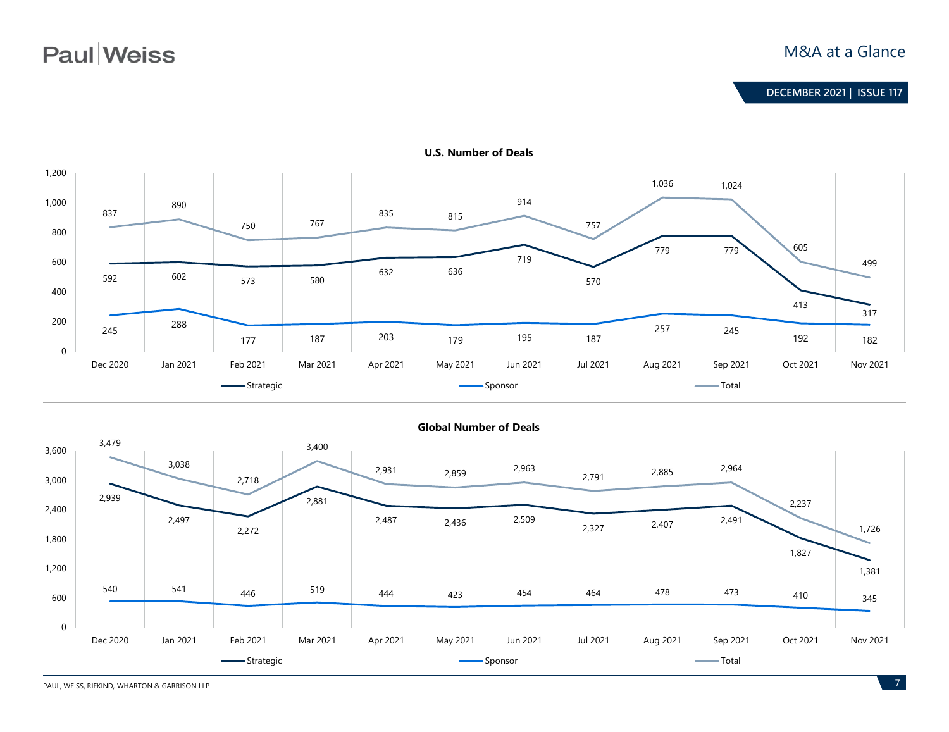

**U.S. Number of Deals**



**Global Number of Deals**

PAUL, WEISS, RIFKIND, WHARTON & GARRISON LLP **7**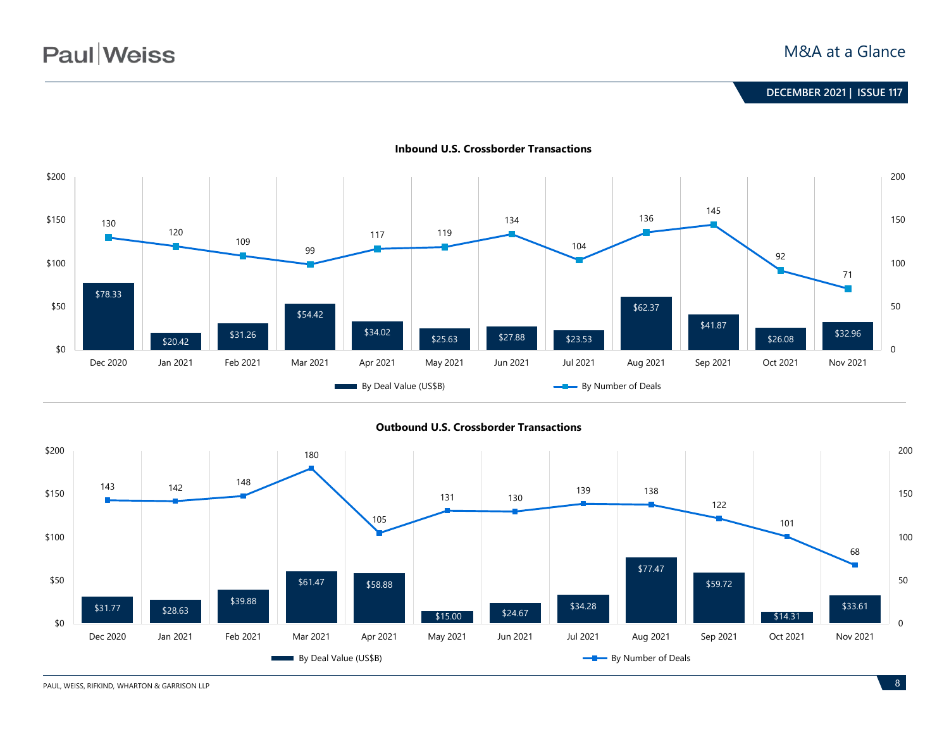

#### **Inbound U.S. Crossborder Transactions**

**Outbound U.S. Crossborder Transactions**



PAUL, WEISS, RIFKIND, WHARTON & GARRISON LLP **8**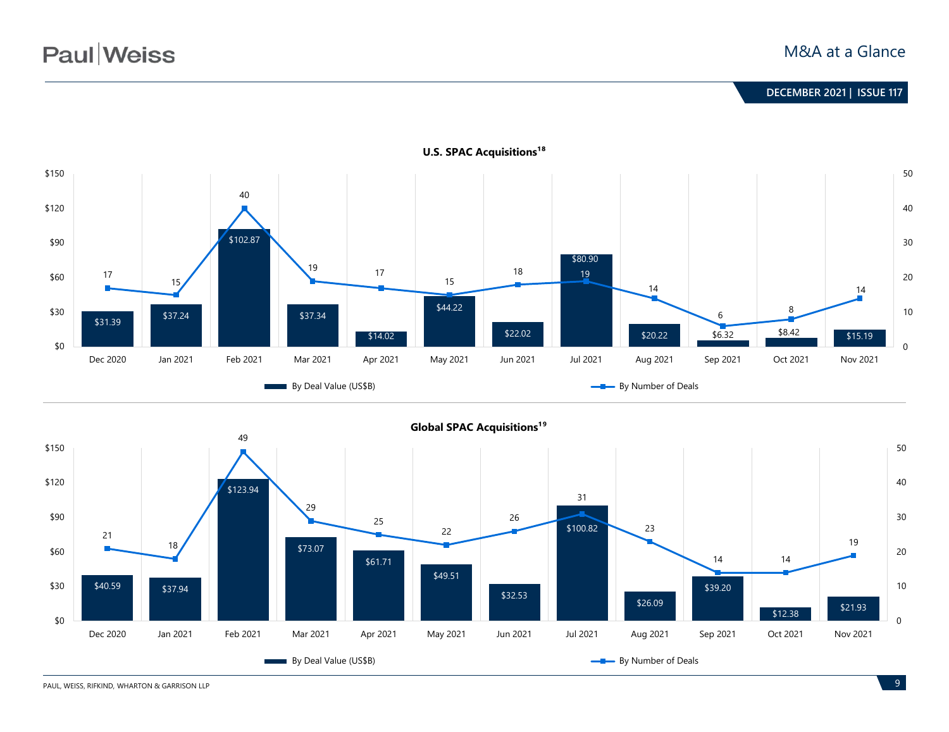# **Paul** Weiss

### **June 2020 | ISSUE 99 DECEMBER 2021 | ISSUE 117**





**U.S. SPAC Acquisitions<sup>18</sup>**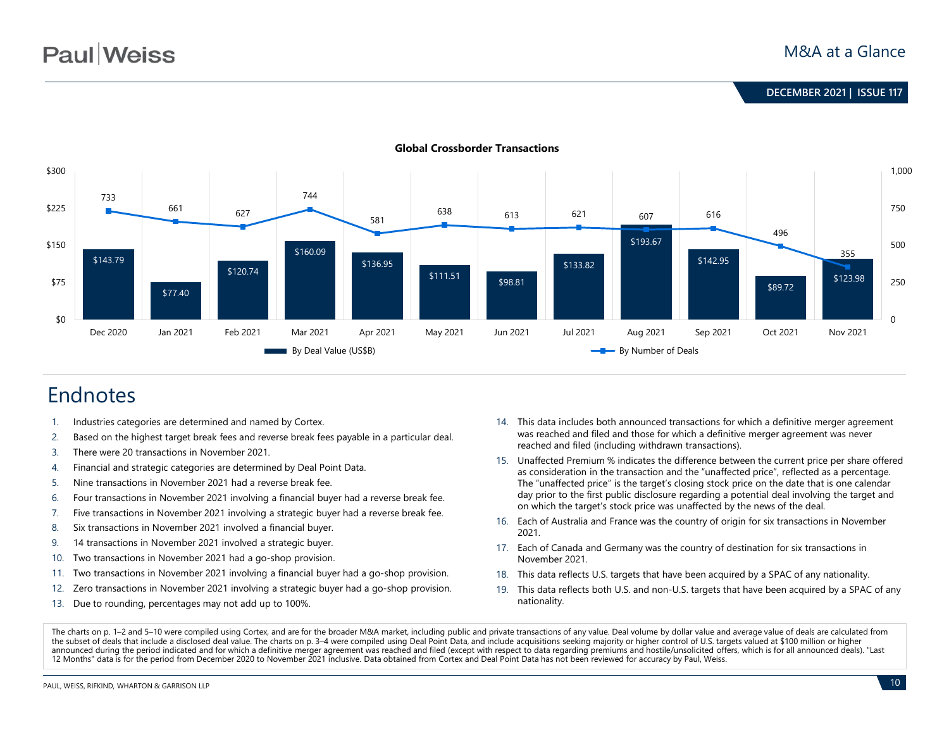

#### **Global Crossborder Transactions**

## Endnotes

- 1. Industries categories are determined and named by Cortex.
- 2. Based on the highest target break fees and reverse break fees payable in a particular deal.
- 3. There were 20 transactions in November 2021.
- 4. Financial and strategic categories are determined by Deal Point Data.
- 5. Nine transactions in November 2021 had a reverse break fee.
- 6. Four transactions in November 2021 involving a financial buyer had a reverse break fee.
- 7. Five transactions in November 2021 involving a strategic buyer had a reverse break fee.
- 8. Six transactions in November 2021 involved a financial buyer.
- 9. 14 transactions in November 2021 involved a strategic buyer.
- 10. Two transactions in November 2021 had a go-shop provision.
- 11. Two transactions in November 2021 involving a financial buyer had a go-shop provision.
- 12. Zero transactions in November 2021 involving a strategic buyer had a go-shop provision.
- 13. Due to rounding, percentages may not add up to 100%.
- 14. This data includes both announced transactions for which a definitive merger agreement was reached and filed and those for which a definitive merger agreement was never reached and filed (including withdrawn transactions).
- 15. Unaffected Premium % indicates the difference between the current price per share offered as consideration in the transaction and the "unaffected price", reflected as a percentage. The "unaffected price" is the target's closing stock price on the date that is one calendar day prior to the first public disclosure regarding a potential deal involving the target and on which the target's stock price was unaffected by the news of the deal.
- 16. Each of Australia and France was the country of origin for six transactions in November 2021.
- 17. Each of Canada and Germany was the country of destination for six transactions in November 2021.
- 18. This data reflects U.S. targets that have been acquired by a SPAC of any nationality.
- 19. This data reflects both U.S. and non-U.S. targets that have been acquired by a SPAC of any nationality.

The charts on p. 1–2 and 5–10 were compiled using Cortex, and are for the broader M&A market, including public and private transactions of any value. Deal volume by dollar value and average value of deals are calculated fr the subset of deals that include a disclosed deal value. The charts on p. 3–4 were compiled using Deal Point Data, and include acquisitions seeking majority or higher control of U.S. targets valued at \$100 million or highe announced during the period indicated and for which a definitive merger agreement was reached and filed (except with respect to data regarding premiums and hostile/unsolicited offers, which is for all announced deals). "La 12 Months" data is for the period from December 2020 to November 2021 inclusive. Data obtained from Cortex and Deal Point Data has not been reviewed for accuracy by Paul, Weiss.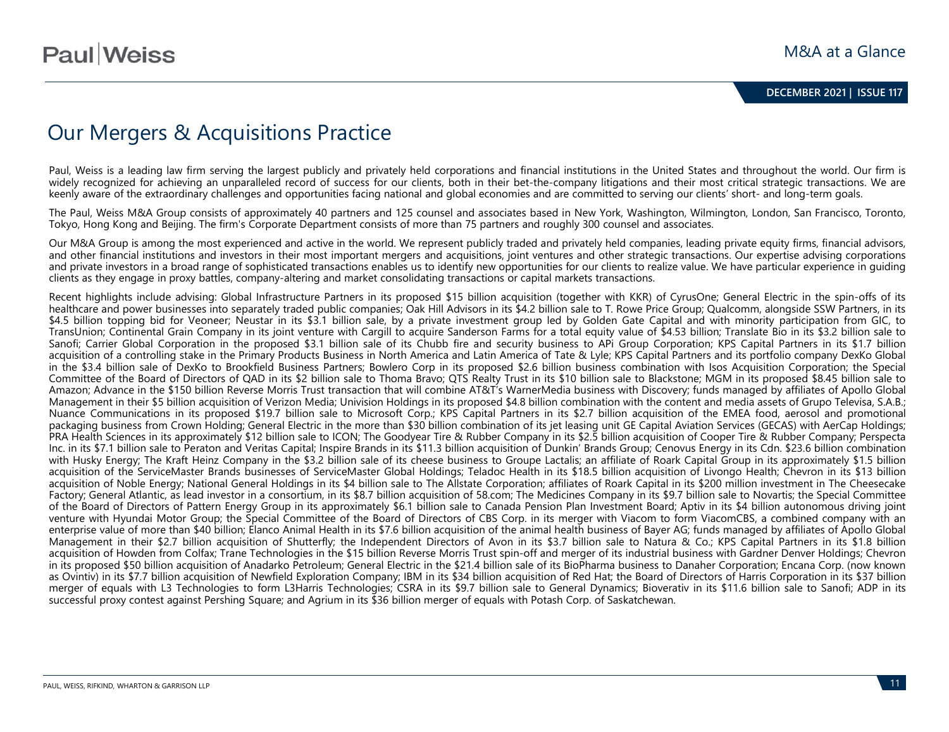# Our Mergers & Acquisitions Practice

Paul, Weiss is a leading law firm serving the largest publicly and privately held corporations and financial institutions in the United States and throughout the world. Our firm is widely recognized for achieving an unparalleled record of success for our clients, both in their bet-the-company litigations and their most critical strategic transactions. We are keenly aware of the extraordinary challenges and opportunities facing national and global economies and are committed to serving our clients' short- and long-term goals.

The Paul, Weiss M&A Group consists of approximately 40 partners and 125 counsel and associates based in New York, Washington, Wilmington, London, San Francisco, Toronto, Tokyo, Hong Kong and Beijing. The firm's Corporate Department consists of more than 75 partners and roughly 300 counsel and associates.

Our M&A Group is among the most experienced and active in the world. We represent publicly traded and privately held companies, leading private equity firms, financial advisors, and other financial institutions and investors in their most important mergers and acquisitions, joint ventures and other strategic transactions. Our expertise advising corporations and private investors in a broad range of sophisticated transactions enables us to identify new opportunities for our clients to realize value. We have particular experience in guiding clients as they engage in proxy battles, company-altering and market consolidating transactions or capital markets transactions.

Recent highlights include advising: Global Infrastructure Partners in its proposed \$15 billion acquisition (together with KKR) of CyrusOne; General Electric in the spin-offs of its healthcare and power businesses into separately traded public companies; Oak Hill Advisors in its \$4.2 billion sale to T. Rowe Price Group; Qualcomm, alongside SSW Partners, in its \$4.5 billion topping bid for Veoneer; Neustar in its \$3.1 billion sale, by a private investment group led by Golden Gate Capital and with minority participation from GIC, to TransUnion; Continental Grain Company in its joint venture with Cargill to acquire Sanderson Farms for a total equity value of \$4.53 billion; Translate Bio in its \$3.2 billion sale to Sanofi; Carrier Global Corporation in the proposed \$3.1 billion sale of its Chubb fire and security business to APi Group Corporation; KPS Capital Partners in its \$1.7 billion acquisition of a controlling stake in the Primary Products Business in North America and Latin America of Tate & Lyle; KPS Capital Partners and its portfolio company DexKo Global in the \$3.4 billion sale of DexKo to Brookfield Business Partners; Bowlero Corp in its proposed \$2.6 billion business combination with Isos Acquisition Corporation; the Special Committee of the Board of Directors of QAD in its \$2 billion sale to Thoma Bravo; QTS Realty Trust in its \$10 billion sale to Blackstone; MGM in its proposed \$8.45 billion sale to Amazon; Advance in the \$150 billion Reverse Morris Trust transaction that will combine AT&T's WarnerMedia business with Discovery; funds managed by affiliates of Apollo Global Management in their \$5 billion acquisition of Verizon Media; Univision Holdings in its proposed \$4.8 billion combination with the content and media assets of Grupo Televisa, S.A.B.; Nuance Communications in its proposed \$19.7 billion sale to Microsoft Corp.; KPS Capital Partners in its \$2.7 billion acquisition of the EMEA food, aerosol and promotional packaging business from Crown Holding; General Electric in the more than \$30 billion combination of its jet leasing unit GE Capital Aviation Services (GECAS) with AerCap Holdings; PRA Health Sciences in its approximately \$12 billion sale to ICON; The Goodyear Tire & Rubber Company in its \$2.5 billion acquisition of Cooper Tire & Rubber Company; Perspecta Inc. in its \$7.1 billion sale to Peraton and Veritas Capital; Inspire Brands in its \$11.3 billion acquisition of Dunkin' Brands Group; Cenovus Energy in its Cdn. \$23.6 billion combination with Husky Energy; The Kraft Heinz Company in the \$3.2 billion sale of its cheese business to Groupe Lactalis; an affiliate of Roark Capital Group in its approximately \$1.5 billion acquisition of the ServiceMaster Brands businesses of ServiceMaster Global Holdings; Teladoc Health in its \$18.5 billion acquisition of Livongo Health; Chevron in its \$13 billion acquisition of Noble Energy; National General Holdings in its \$4 billion sale to The Allstate Corporation; affiliates of Roark Capital in its \$200 million investment in The Cheesecake Factory; General Atlantic, as lead investor in a consortium, in its \$8.7 billion acquisition of 58.com; The Medicines Company in its \$9.7 billion sale to Novartis; the Special Committee of the Board of Directors of Pattern Energy Group in its approximately \$6.1 billion sale to Canada Pension Plan Investment Board; Aptiv in its \$4 billion autonomous driving joint venture with Hyundai Motor Group; the Special Committee of the Board of Directors of CBS Corp. in its merger with Viacom to form ViacomCBS, a combined company with an enterprise value of more than \$40 billion; Elanco Animal Health in its \$7.6 billion acquisition of the animal health business of Bayer AG; funds managed by affiliates of Apollo Global Management in their \$2.7 billion acquisition of Shutterfly; the Independent Directors of Avon in its \$3.7 billion sale to Natura & Co.; KPS Capital Partners in its \$1.8 billion acquisition of Howden from Colfax; Trane Technologies in the \$15 billion Reverse Morris Trust spin-off and merger of its industrial business with Gardner Denver Holdings; Chevron in its proposed \$50 billion acquisition of Anadarko Petroleum; General Electric in the \$21.4 billion sale of its BioPharma business to Danaher Corporation; Encana Corp. (now known as Ovintiv) in its \$7.7 billion acquisition of Newfield Exploration Company; IBM in its \$34 billion acquisition of Red Hat; the Board of Directors of Harris Corporation in its \$37 billion merger of equals with L3 Technologies to form L3Harris Technologies; CSRA in its \$9.7 billion sale to General Dynamics; Bioverativ in its \$11.6 billion sale to Sanofi; ADP in its successful proxy contest against Pershing Square; and Agrium in its \$36 billion merger of equals with Potash Corp. of Saskatchewan.